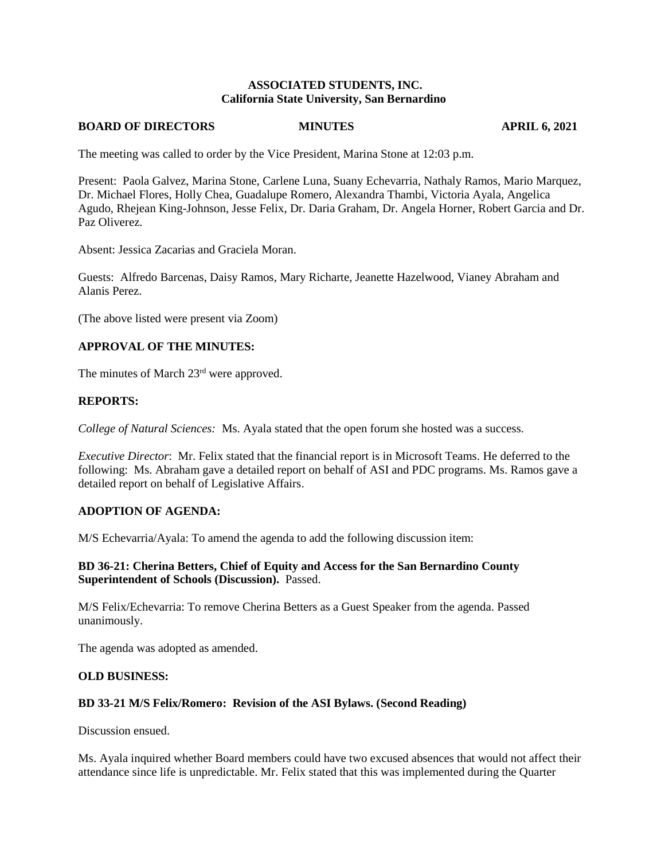### **ASSOCIATED STUDENTS, INC. California State University, San Bernardino**

### **BOARD OF DIRECTORS MINUTES APRIL 6, 2021**

The meeting was called to order by the Vice President, Marina Stone at 12:03 p.m.

Present: Paola Galvez, Marina Stone, Carlene Luna, Suany Echevarria, Nathaly Ramos, Mario Marquez, Dr. Michael Flores, Holly Chea, Guadalupe Romero, Alexandra Thambi, Victoria Ayala, Angelica Agudo, Rhejean King-Johnson, Jesse Felix, Dr. Daria Graham, Dr. Angela Horner, Robert Garcia and Dr. Paz Oliverez.

Absent: Jessica Zacarias and Graciela Moran.

Guests: Alfredo Barcenas, Daisy Ramos, Mary Richarte, Jeanette Hazelwood, Vianey Abraham and Alanis Perez.

(The above listed were present via Zoom)

## **APPROVAL OF THE MINUTES:**

The minutes of March 23rd were approved.

### **REPORTS:**

*College of Natural Sciences:* Ms. Ayala stated that the open forum she hosted was a success.

*Executive Director*: Mr. Felix stated that the financial report is in Microsoft Teams. He deferred to the following: Ms. Abraham gave a detailed report on behalf of ASI and PDC programs. Ms. Ramos gave a detailed report on behalf of Legislative Affairs.

## **ADOPTION OF AGENDA:**

M/S Echevarria/Ayala: To amend the agenda to add the following discussion item:

## **BD 36-21: Cherina Betters, Chief of Equity and Access for the San Bernardino County Superintendent of Schools (Discussion).** Passed.

M/S Felix/Echevarria: To remove Cherina Betters as a Guest Speaker from the agenda. Passed unanimously.

The agenda was adopted as amended.

### **OLD BUSINESS:**

## **BD 33-21 M/S Felix/Romero: Revision of the ASI Bylaws. (Second Reading)**

Discussion ensued.

Ms. Ayala inquired whether Board members could have two excused absences that would not affect their attendance since life is unpredictable. Mr. Felix stated that this was implemented during the Quarter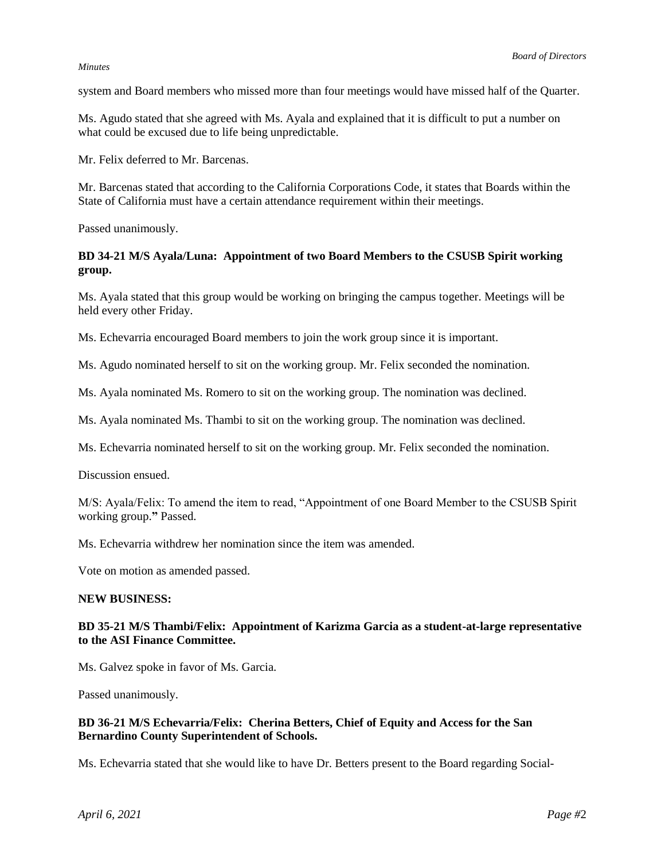#### *Minutes*

system and Board members who missed more than four meetings would have missed half of the Quarter.

Ms. Agudo stated that she agreed with Ms. Ayala and explained that it is difficult to put a number on what could be excused due to life being unpredictable.

Mr. Felix deferred to Mr. Barcenas.

Mr. Barcenas stated that according to the California Corporations Code, it states that Boards within the State of California must have a certain attendance requirement within their meetings.

Passed unanimously.

# **BD 34-21 M/S Ayala/Luna: Appointment of two Board Members to the CSUSB Spirit working group.**

Ms. Ayala stated that this group would be working on bringing the campus together. Meetings will be held every other Friday.

Ms. Echevarria encouraged Board members to join the work group since it is important.

Ms. Agudo nominated herself to sit on the working group. Mr. Felix seconded the nomination.

Ms. Ayala nominated Ms. Romero to sit on the working group. The nomination was declined.

Ms. Ayala nominated Ms. Thambi to sit on the working group. The nomination was declined.

Ms. Echevarria nominated herself to sit on the working group. Mr. Felix seconded the nomination.

Discussion ensued.

M/S: Ayala/Felix: To amend the item to read, "Appointment of one Board Member to the CSUSB Spirit working group.**"** Passed.

Ms. Echevarria withdrew her nomination since the item was amended.

Vote on motion as amended passed.

### **NEW BUSINESS:**

# **BD 35-21 M/S Thambi/Felix: Appointment of Karizma Garcia as a student-at-large representative to the ASI Finance Committee.**

Ms. Galvez spoke in favor of Ms. Garcia.

Passed unanimously.

# **BD 36-21 M/S Echevarria/Felix: Cherina Betters, Chief of Equity and Access for the San Bernardino County Superintendent of Schools.**

Ms. Echevarria stated that she would like to have Dr. Betters present to the Board regarding Social-